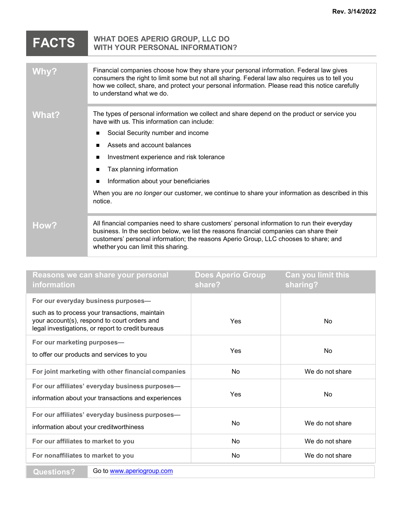| <b>FACTS</b> | <b>WHAT DOES APERIO GROUP, LLC DO</b><br><b>WITH YOUR PERSONAL INFORMATION?</b>                                                                                                                                                                                                                                          |
|--------------|--------------------------------------------------------------------------------------------------------------------------------------------------------------------------------------------------------------------------------------------------------------------------------------------------------------------------|
| Why?         | Financial companies choose how they share your personal information. Federal law gives<br>consumers the right to limit some but not all sharing. Federal law also requires us to tell you<br>how we collect, share, and protect your personal information. Please read this notice carefully<br>to understand what we do |
| <b>What?</b> | The types of personal information we collect and share depend on the product or service you<br>have with us. This information can include:<br>Social Security number and income                                                                                                                                          |
|              | Assets and account balances                                                                                                                                                                                                                                                                                              |
|              | Investment experience and risk tolerance                                                                                                                                                                                                                                                                                 |
|              | Tax planning information                                                                                                                                                                                                                                                                                                 |
|              | Information about your beneficiaries                                                                                                                                                                                                                                                                                     |
|              | When you are no longer our customer, we continue to share your information as described in this<br>notice.                                                                                                                                                                                                               |
| How?         | All financial companies need to share customers' personal information to run their everyday<br>business. In the section below, we list the reasons financial companies can share their<br>customers' personal information; the reasons Aperio Group, LLC chooses to share; and<br>whether you can limit this sharing.    |

| Reasons we can share your personal<br>information                                                      | <b>Does Aperio Group</b><br>share? | Can you limit this<br>sharing? |
|--------------------------------------------------------------------------------------------------------|------------------------------------|--------------------------------|
| For our everyday business purposes-<br>such as to process your transactions, maintain                  |                                    |                                |
| your account(s), respond to court orders and<br>legal investigations, or report to credit bureaus      | Yes                                | No                             |
| For our marketing purposes-<br>to offer our products and services to you                               | Yes                                | No                             |
| For joint marketing with other financial companies                                                     | No                                 | We do not share                |
| For our affiliates' everyday business purposes-<br>information about your transactions and experiences | Yes                                | No                             |
| For our affiliates' everyday business purposes-<br>information about your creditworthiness             | No                                 | We do not share                |
| For our affiliates to market to you                                                                    | No                                 | We do not share                |
| For nonaffiliates to market to you                                                                     | No                                 | We do not share                |
| <b><i>CARL CARD CARD</i></b><br>$\bigcap$ . In the second contract $\bigcap$                           |                                    |                                |

Go to [www.aperiogroup.com](http://www.aperiogroup.com/)